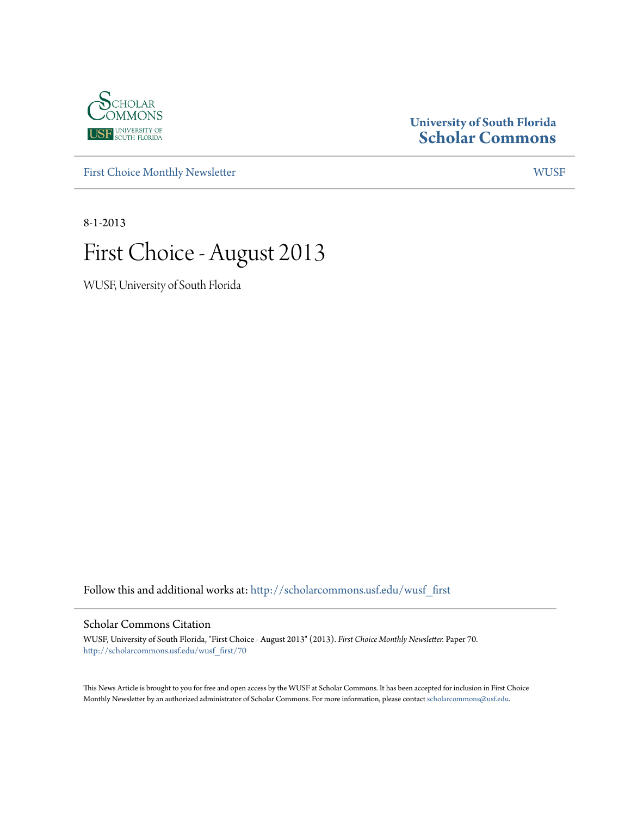

#### **University of South Florida [Scholar Commons](http://scholarcommons.usf.edu?utm_source=scholarcommons.usf.edu%2Fwusf_first%2F70&utm_medium=PDF&utm_campaign=PDFCoverPages)**

[First Choice Monthly Newsletter](http://scholarcommons.usf.edu/wusf_first?utm_source=scholarcommons.usf.edu%2Fwusf_first%2F70&utm_medium=PDF&utm_campaign=PDFCoverPages) [WUSF](http://scholarcommons.usf.edu/wusf?utm_source=scholarcommons.usf.edu%2Fwusf_first%2F70&utm_medium=PDF&utm_campaign=PDFCoverPages)

8-1-2013

## First Choice - August 2013

WUSF, University of South Florida

Follow this and additional works at: [http://scholarcommons.usf.edu/wusf\\_first](http://scholarcommons.usf.edu/wusf_first?utm_source=scholarcommons.usf.edu%2Fwusf_first%2F70&utm_medium=PDF&utm_campaign=PDFCoverPages)

#### Scholar Commons Citation

WUSF, University of South Florida, "First Choice - August 2013" (2013). *First Choice Monthly Newsletter.* Paper 70. [http://scholarcommons.usf.edu/wusf\\_first/70](http://scholarcommons.usf.edu/wusf_first/70?utm_source=scholarcommons.usf.edu%2Fwusf_first%2F70&utm_medium=PDF&utm_campaign=PDFCoverPages)

This News Article is brought to you for free and open access by the WUSF at Scholar Commons. It has been accepted for inclusion in First Choice Monthly Newsletter by an authorized administrator of Scholar Commons. For more information, please contact [scholarcommons@usf.edu.](mailto:scholarcommons@usf.edu)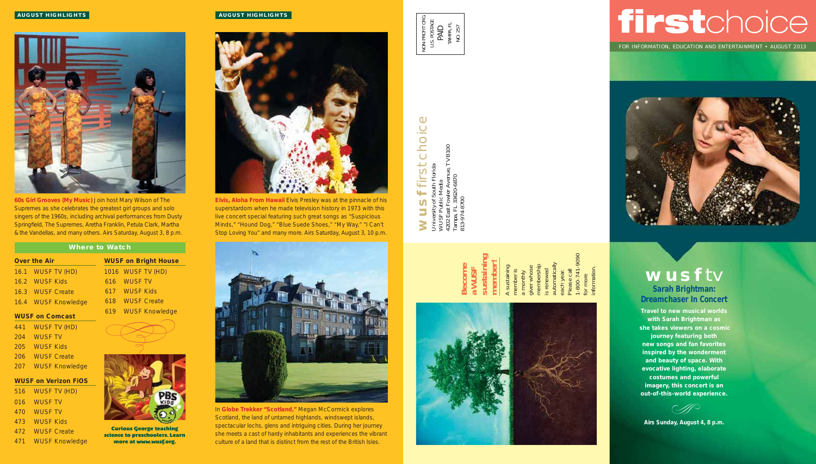## firstchoice

FOR INFORMATION, EDUCATION AND ENTERTAINMENT • AUGUST 2013



## **wusf** tv

#### **Sarah Brightman: Dreamchaser In Concert**

**Travel to new musical worlds with Sarah Brightman as she takes viewers on a cosmic journey featuring both new songs and fan favorites inspired by the wonderment and beauty of space. With evocative lighting, elaborate costumes and powerful imagery, this concert is an out-of-this-world experience.**

 $\mathscr{P}$ 

**Airs Sunday, August 4, 8 p.m.**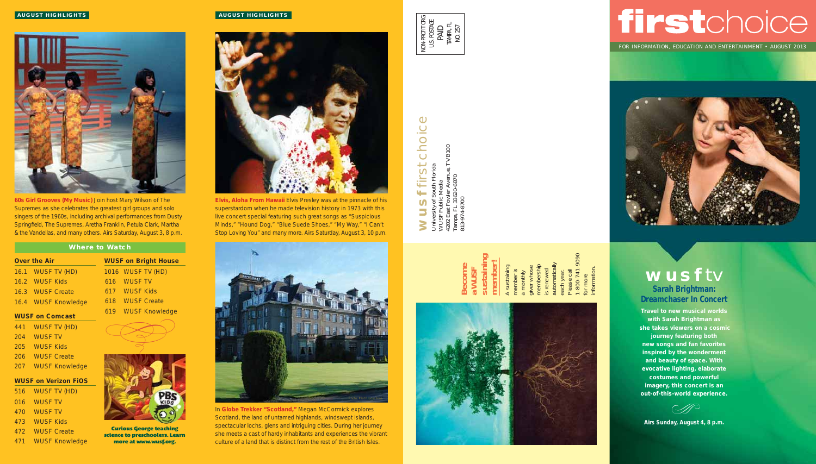#### **AUGUST HIGHLIGHTS**



**60s Girl Grooves (My Music)** Join host Mary Wilson of The Supremes as she celebrates the greatest girl groups and solo singers of the 1960s, including archival performances from Dusty Springfield, The Supremes, Aretha Franklin, Petula Clark, Martha & the Vandellas, and many others. Airs Saturday, August 3, 8 p.m.

#### **Where to Watch**

| <b>Over the Air</b> |
|---------------------|
| 16.1 WUSF TV (HD)   |
| 16.2 WUSF Kids      |
| 16.3 WUSF Create    |
| 16.4 WUSF Knowledge |
|                     |

#### **WUSF on Comcast**

441 WUSF TV (HD) 204 WUSF TV 205 WUSF Kids 206 WUSF Create 207 WUSF Knowledge

#### **WUSF on Verizon FiOS**

| 516 | <b>WUSF TV (HD)</b>   |
|-----|-----------------------|
| 016 | <b>WUSF TV</b>        |
| 470 | <b>WUSF TV</b>        |
| 473 | <b>WUSF Kids</b>      |
| 472 | <b>WUSF Create</b>    |
| 471 | <b>WUSF Knowledge</b> |
|     |                       |

| <b>WUSF on Bright House</b> |                       |  |
|-----------------------------|-----------------------|--|
|                             | 1016 WUSF TV (HD)     |  |
|                             | 616 WUSF TV           |  |
| 617                         | <b>WUSE Kids</b>      |  |
| 618                         | <b>WUSF Create</b>    |  |
| 619                         | <b>WUSF Knowledge</b> |  |
|                             |                       |  |



**Curious George teaching science to preschoolers. Learn more at www.wusf.org.**

#### **AUGUST HIGHLIGHTS**



**Elvis, Aloha From Hawaii** Elvis Presley was at the pinnacle of his superstardom when he made television history in 1973 with this live concert special featuring such great songs as "Suspicious Minds," "Hound Dog," "Blue Suede Shoes," "My Way," "I Can't Stop Loving You" and many more. Airs Saturday, August 3, 10 p.m.



In **Globe Trekker "Scotland,"** Megan McCormick explores Scotland, the land of untamed highlands, windswept islands, spectacular lochs, glens and intriguing cities. During her journey she meets a cast of hardy inhabitants and experiences the vibrant culture of a land that is distinct from the rest of the British Isles.